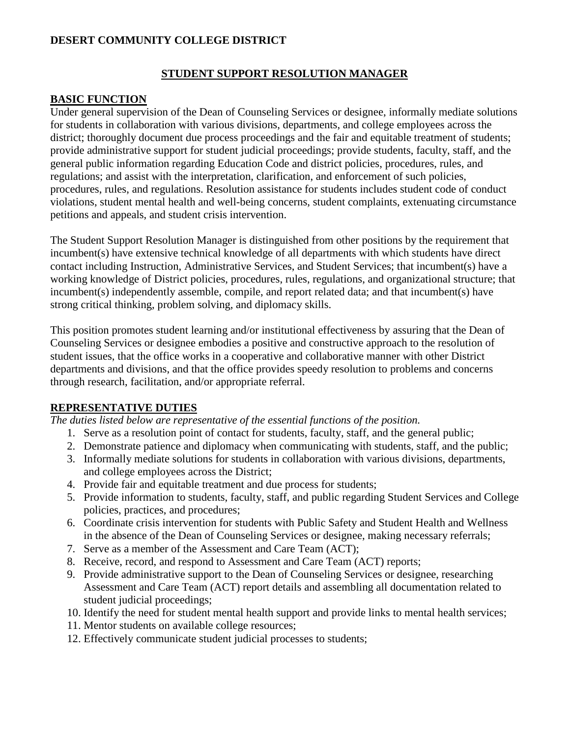### **DESERT COMMUNITY COLLEGE DISTRICT**

#### **STUDENT SUPPORT RESOLUTION MANAGER**

#### **BASIC FUNCTION**

Under general supervision of the Dean of Counseling Services or designee, informally mediate solutions for students in collaboration with various divisions, departments, and college employees across the district; thoroughly document due process proceedings and the fair and equitable treatment of students; provide administrative support for student judicial proceedings; provide students, faculty, staff, and the general public information regarding Education Code and district policies, procedures, rules, and regulations; and assist with the interpretation, clarification, and enforcement of such policies, procedures, rules, and regulations. Resolution assistance for students includes student code of conduct violations, student mental health and well-being concerns, student complaints, extenuating circumstance petitions and appeals, and student crisis intervention.

The Student Support Resolution Manager is distinguished from other positions by the requirement that incumbent(s) have extensive technical knowledge of all departments with which students have direct contact including Instruction, Administrative Services, and Student Services; that incumbent(s) have a working knowledge of District policies, procedures, rules, regulations, and organizational structure; that incumbent(s) independently assemble, compile, and report related data; and that incumbent(s) have strong critical thinking, problem solving, and diplomacy skills.

This position promotes student learning and/or institutional effectiveness by assuring that the Dean of Counseling Services or designee embodies a positive and constructive approach to the resolution of student issues, that the office works in a cooperative and collaborative manner with other District departments and divisions, and that the office provides speedy resolution to problems and concerns through research, facilitation, and/or appropriate referral.

#### **REPRESENTATIVE DUTIES**

*The duties listed below are representative of the essential functions of the position.*

- 1. Serve as a resolution point of contact for students, faculty, staff, and the general public;
- 2. Demonstrate patience and diplomacy when communicating with students, staff, and the public;
- 3. Informally mediate solutions for students in collaboration with various divisions, departments, and college employees across the District;
- 4. Provide fair and equitable treatment and due process for students;
- 5. Provide information to students, faculty, staff, and public regarding Student Services and College policies, practices, and procedures;
- 6. Coordinate crisis intervention for students with Public Safety and Student Health and Wellness in the absence of the Dean of Counseling Services or designee, making necessary referrals;
- 7. Serve as a member of the Assessment and Care Team (ACT);
- 8. Receive, record, and respond to Assessment and Care Team (ACT) reports;
- 9. Provide administrative support to the Dean of Counseling Services or designee, researching Assessment and Care Team (ACT) report details and assembling all documentation related to student judicial proceedings;
- 10. Identify the need for student mental health support and provide links to mental health services;
- 11. Mentor students on available college resources;
- 12. Effectively communicate student judicial processes to students;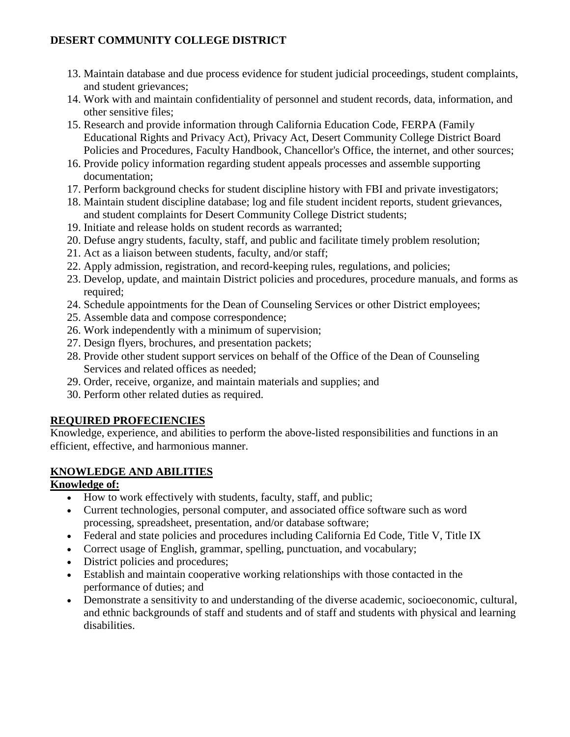# **DESERT COMMUNITY COLLEGE DISTRICT**

- 13. Maintain database and due process evidence for student judicial proceedings, student complaints, and student grievances;
- 14. Work with and maintain confidentiality of personnel and student records, data, information, and other sensitive files;
- 15. Research and provide information through California Education Code, FERPA (Family Educational Rights and Privacy Act), Privacy Act, Desert Community College District Board Policies and Procedures, Faculty Handbook, Chancellor's Office, the internet, and other sources;
- 16. Provide policy information regarding student appeals processes and assemble supporting documentation;
- 17. Perform background checks for student discipline history with FBI and private investigators;
- 18. Maintain student discipline database; log and file student incident reports, student grievances, and student complaints for Desert Community College District students;
- 19. Initiate and release holds on student records as warranted;
- 20. Defuse angry students, faculty, staff, and public and facilitate timely problem resolution;
- 21. Act as a liaison between students, faculty, and/or staff;
- 22. Apply admission, registration, and record-keeping rules, regulations, and policies;
- 23. Develop, update, and maintain District policies and procedures, procedure manuals, and forms as required;
- 24. Schedule appointments for the Dean of Counseling Services or other District employees;
- 25. Assemble data and compose correspondence;
- 26. Work independently with a minimum of supervision;
- 27. Design flyers, brochures, and presentation packets;
- 28. Provide other student support services on behalf of the Office of the Dean of Counseling Services and related offices as needed;
- 29. Order, receive, organize, and maintain materials and supplies; and
- 30. Perform other related duties as required.

# **REQUIRED PROFECIENCIES**

Knowledge, experience, and abilities to perform the above-listed responsibilities and functions in an efficient, effective, and harmonious manner.

# **KNOWLEDGE AND ABILITIES**

# **Knowledge of:**

- How to work effectively with students, faculty, staff, and public;
- Current technologies, personal computer, and associated office software such as word processing, spreadsheet, presentation, and/or database software;
- Federal and state policies and procedures including California Ed Code, Title V, Title IX
- Correct usage of English, grammar, spelling, punctuation, and vocabulary;
- District policies and procedures;
- Establish and maintain cooperative working relationships with those contacted in the performance of duties; and
- Demonstrate a sensitivity to and understanding of the diverse academic, socioeconomic, cultural, and ethnic backgrounds of staff and students and of staff and students with physical and learning disabilities.